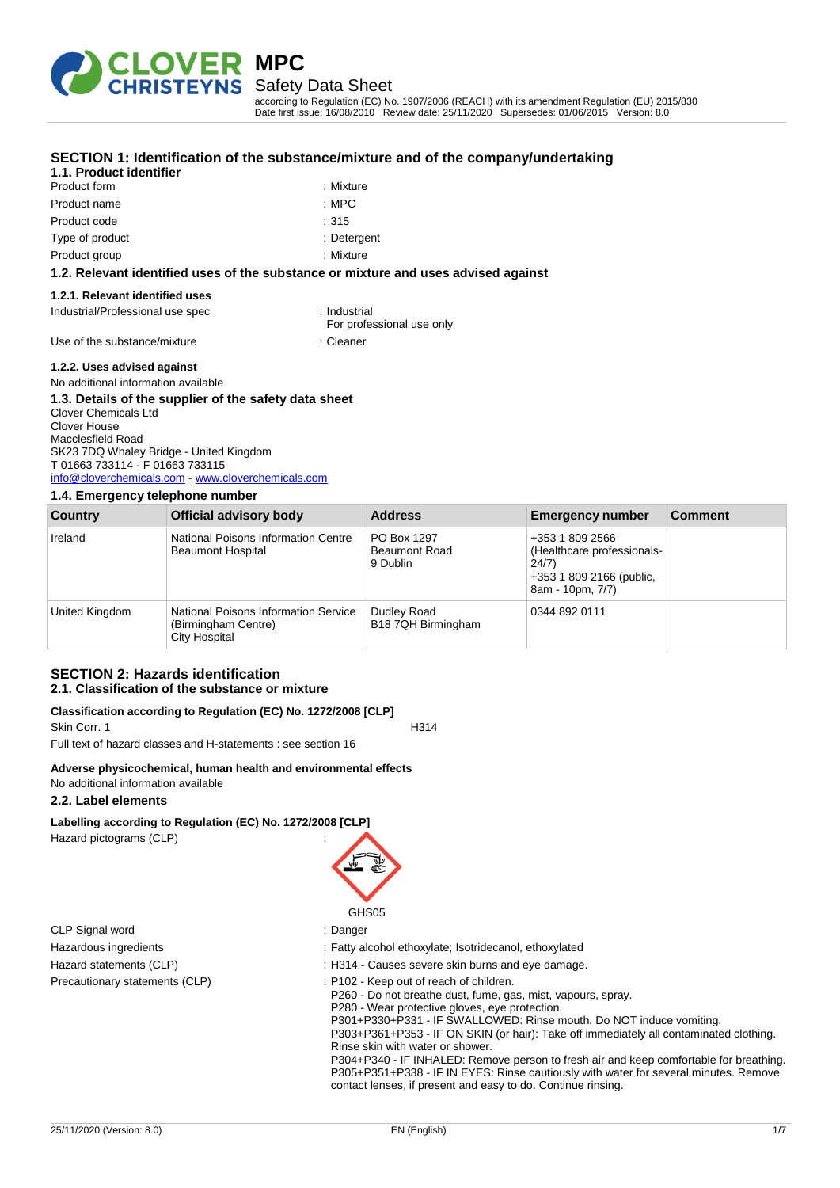

# Safety Data Sheet

according to Regulation (EC) No. 1907/2006 (REACH) with its amendment Regulation (EU) 2015/830 Date first issue: 16/08/2010 Review date: 25/11/2020 Supersedes: 01/06/2015 Version: 8.0

# **SECTION 1: Identification of the substance/mixture and of the company/undertaking**

# **1.1. Product identifier**

Product form **: Mixture** Product name : NPC Product code : 315 Type of product in the set of the set of the set of the set of the set of the set of the set of the set of the set of the set of the set of the set of the set of the set of the set of the set of the set of the set of the s Product group **in the case of the contract of the contract of the contract of the contract of the contract of the contract of the contract of the contract of the contract of the contract of the contract of the contract of** 

### **1.2. Relevant identified uses of the substance or mixture and uses advised against**

## **1.2.1. Relevant identified uses**

Industrial/Professional use spec : Industrial

- For professional use only
- Use of the substance/mixture in the substance of the substance of the substance of the substance of the substance

#### **1.2.2. Uses advised against**

#### No additional information available **1.3. Details of the supplier of the safety data sheet** Clover Chemicals Ltd Clover House Macclesfield Road SK23 7DQ Whaley Bridge - United Kingdom T 01663 733114 - F 01663 733115 [info@cloverchemicals.com](mailto:info@cloverchemicals.com) - <www.cloverchemicals.com>

#### **1.4. Emergency telephone number**

| Country        | Official advisory body                                                       | <b>Address</b>                                  | <b>Emergency number</b>                                                                                | <b>Comment</b> |
|----------------|------------------------------------------------------------------------------|-------------------------------------------------|--------------------------------------------------------------------------------------------------------|----------------|
| Ireland        | National Poisons Information Centre<br><b>Beaumont Hospital</b>              | PO Box 1297<br><b>Beaumont Road</b><br>9 Dublin | +353 1 809 2566<br>(Healthcare professionals-<br>24/7)<br>+353 1 809 2166 (public,<br>8am - 10pm, 7/7) |                |
| United Kingdom | National Poisons Information Service<br>(Birmingham Centre)<br>City Hospital | Dudley Road<br>B18 7QH Birmingham               | 0344 892 0111                                                                                          |                |

## **SECTION 2: Hazards identification 2.1. Classification of the substance or mixture**

#### **Classification according to Regulation (EC) No. 1272/2008 [CLP]** Skin Corr. 1 H314

Full text of hazard classes and H-statements : see section 16

## **Adverse physicochemical, human health and environmental effects**

## No additional information available

## **2.2. Label elements**

# **Labelling according to Regulation (EC) No. 1272/2008 [CLP]**

Hazard pictograms (CLP) :

CLP Signal word : Danger



- Hazardous ingredients : Fatty alcohol ethoxylate; Isotridecanol, ethoxylated
- Hazard statements (CLP)  $\qquad \qquad$ : H314 Causes severe skin burns and eye damage.
- Precautionary statements (CLP) : P102 Keep out of reach of children.
	- P260 Do not breathe dust, fume, gas, mist, vapours, spray.
	- P280 Wear protective gloves, eye protection.
	- P301+P330+P331 IF SWALLOWED: Rinse mouth. Do NOT induce vomiting.
	- P303+P361+P353 IF ON SKIN (or hair): Take off immediately all contaminated clothing. Rinse skin with water or shower.
	- P304+P340 IF INHALED: Remove person to fresh air and keep comfortable for breathing. P305+P351+P338 - IF IN EYES: Rinse cautiously with water for several minutes. Remove contact lenses, if present and easy to do. Continue rinsing.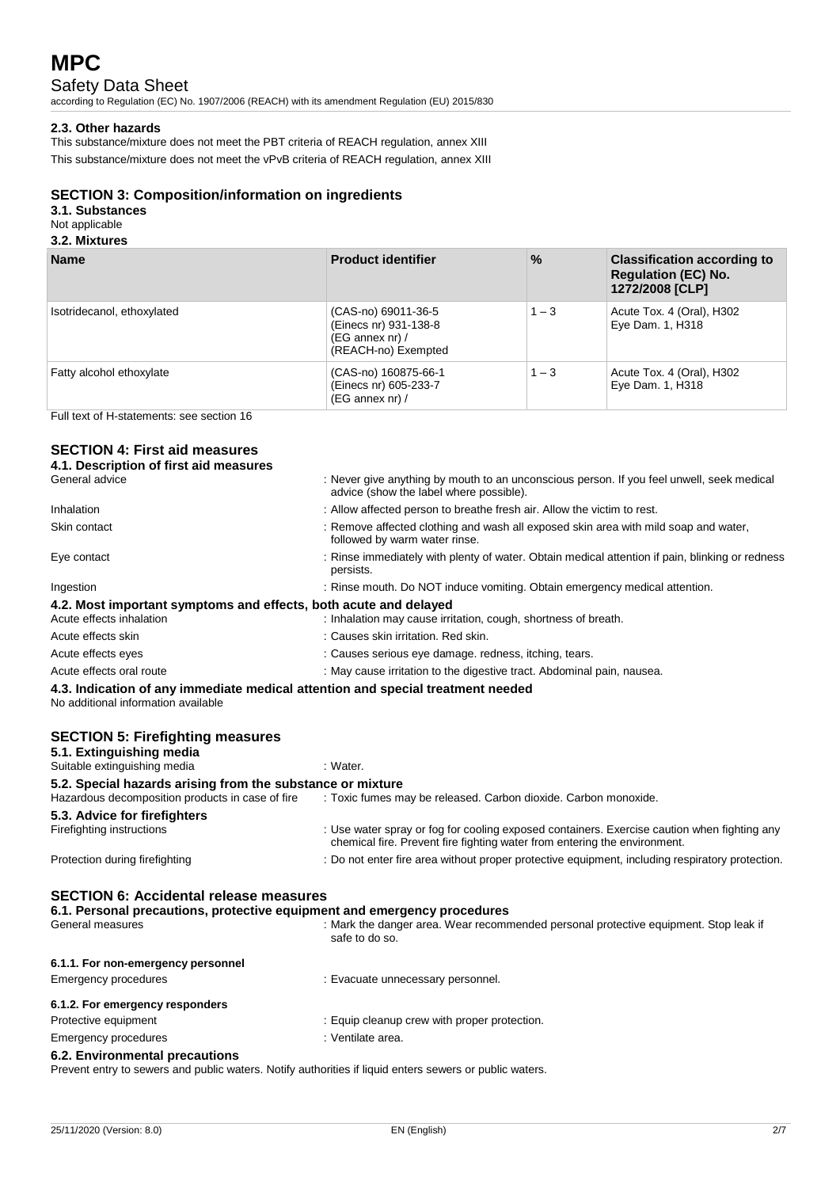# Safety Data Sheet

according to Regulation (EC) No. 1907/2006 (REACH) with its amendment Regulation (EU) 2015/830

# **2.3. Other hazards**

This substance/mixture does not meet the PBT criteria of REACH regulation, annex XIII This substance/mixture does not meet the vPvB criteria of REACH regulation, annex XIII

# **SECTION 3: Composition/information on ingredients**

**3.1. Substances**

# Not applicable

# **3.2. Mixtures**

| <b>Name</b>                | <b>Product identifier</b>                                                                  | $\frac{9}{6}$ | <b>Classification according to</b><br><b>Regulation (EC) No.</b><br>1272/2008 [CLP] |
|----------------------------|--------------------------------------------------------------------------------------------|---------------|-------------------------------------------------------------------------------------|
| Isotridecanol, ethoxylated | (CAS-no) 69011-36-5<br>(Einecs nr) 931-138-8<br>$(EG \nannex nr) /$<br>(REACH-no) Exempted | $1 - 3$       | Acute Tox. 4 (Oral), H302<br>Eye Dam. 1, H318                                       |
| Fatty alcohol ethoxylate   | (CAS-no) 160875-66-1<br>(Einecs nr) 605-233-7<br>$(EG \nannex nr) /$                       | $1 - 3$       | Acute Tox. 4 (Oral), H302<br>Eye Dam. 1, H318                                       |

Full text of H-statements: see section 16

# **SECTION 4: First aid measures**

| 4.1. Description of first aid measures                                                                                 |                                                                                                                                      |
|------------------------------------------------------------------------------------------------------------------------|--------------------------------------------------------------------------------------------------------------------------------------|
| General advice                                                                                                         | : Never give anything by mouth to an unconscious person. If you feel unwell, seek medical<br>advice (show the label where possible). |
| Inhalation                                                                                                             | : Allow affected person to breathe fresh air. Allow the victim to rest.                                                              |
| Skin contact                                                                                                           | : Remove affected clothing and wash all exposed skin area with mild soap and water,<br>followed by warm water rinse.                 |
| Eye contact                                                                                                            | : Rinse immediately with plenty of water. Obtain medical attention if pain, blinking or redness<br>persists.                         |
| Ingestion                                                                                                              | : Rinse mouth. Do NOT induce vomiting. Obtain emergency medical attention.                                                           |
| 4.2. Most important symptoms and effects, both acute and delayed                                                       |                                                                                                                                      |
| Acute effects inhalation                                                                                               | : Inhalation may cause irritation, cough, shortness of breath.                                                                       |
| Acute effects skin                                                                                                     | : Causes skin irritation. Red skin.                                                                                                  |
| Acute effects eyes                                                                                                     | : Causes serious eye damage. redness, itching, tears.                                                                                |
| Acute effects oral route                                                                                               | : May cause irritation to the digestive tract. Abdominal pain, nausea.                                                               |
| 4.3. Indication of any immediate medical attention and special treatment needed<br>No additional information available |                                                                                                                                      |

# **SECTION 5: Firefighting measures**

| SLUTIUN J. I II GIIYIIIIIIY IIIGASUI GS<br>5.1. Extinguishing media<br>Suitable extinguishing media                                           | : Water.                                                                                                                                                                 |
|-----------------------------------------------------------------------------------------------------------------------------------------------|--------------------------------------------------------------------------------------------------------------------------------------------------------------------------|
| 5.2. Special hazards arising from the substance or mixture                                                                                    |                                                                                                                                                                          |
| Hazardous decomposition products in case of fire                                                                                              | : Toxic fumes may be released. Carbon dioxide. Carbon monoxide.                                                                                                          |
| 5.3. Advice for firefighters                                                                                                                  |                                                                                                                                                                          |
| Firefighting instructions                                                                                                                     | : Use water spray or fog for cooling exposed containers. Exercise caution when fighting any<br>chemical fire. Prevent fire fighting water from entering the environment. |
| Protection during firefighting                                                                                                                | : Do not enter fire area without proper protective equipment, including respiratory protection.                                                                          |
| <b>SECTION 6: Accidental release measures</b><br>6.1. Personal precautions, protective equipment and emergency procedures<br>General measures | : Mark the danger area. Wear recommended personal protective equipment. Stop leak if<br>safe to do so.                                                                   |
| 6.1.1. For non-emergency personnel                                                                                                            |                                                                                                                                                                          |
| Emergency procedures                                                                                                                          | : Evacuate unnecessary personnel.                                                                                                                                        |
|                                                                                                                                               |                                                                                                                                                                          |

#### **6.1.2. For emergency responders**

Protective equipment **interest in the Community** Equip cleanup crew with proper protection.

Emergency procedures in the set of the set of the Senate Senate area.

# **6.2. Environmental precautions**

Prevent entry to sewers and public waters. Notify authorities if liquid enters sewers or public waters.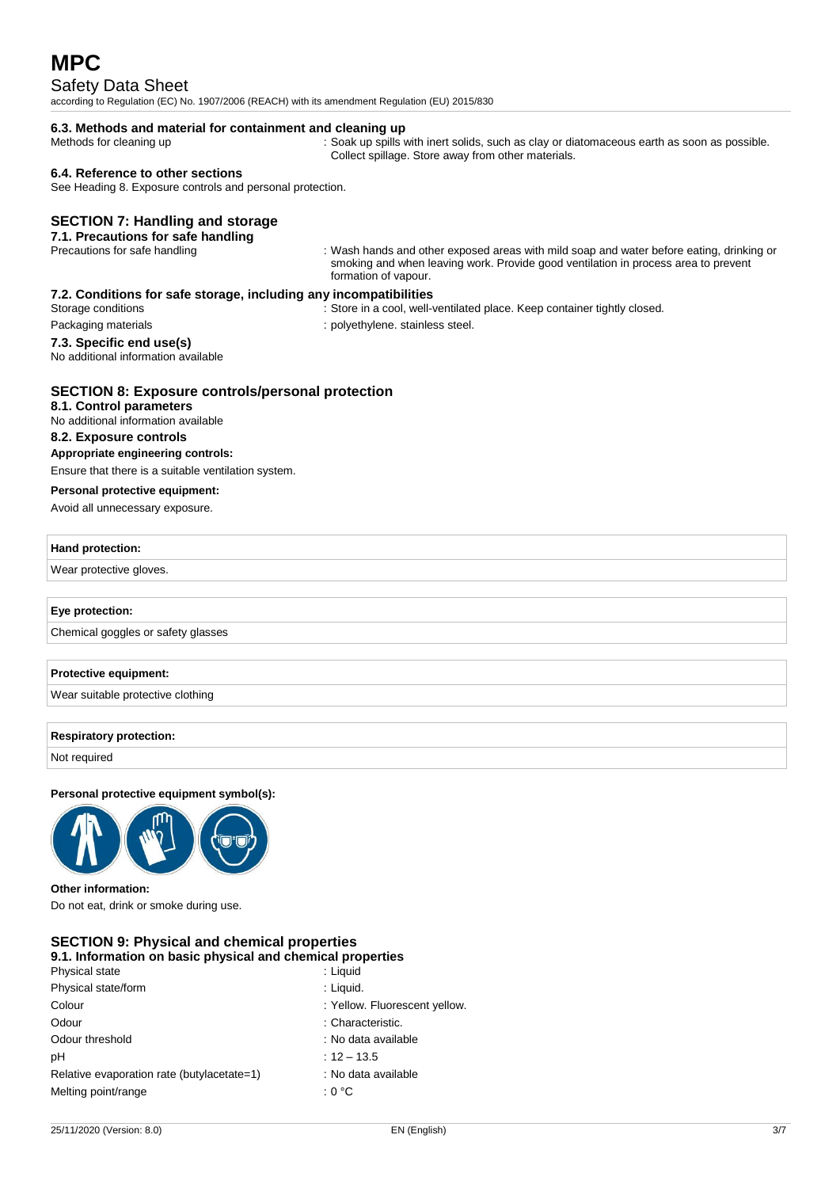# Safety Data Sheet

according to Regulation (EC) No. 1907/2006 (REACH) with its amendment Regulation (EU) 2015/830

# **6.3. Methods and material for containment and cleaning up**

Methods for cleaning up : Soak up spills with inert solids, such as clay or diatomaceous earth as soon as possible. Collect spillage. Store away from other materials.

### **6.4. Reference to other sections**

See Heading 8. Exposure controls and personal protection.

## **SECTION 7: Handling and storage**

#### **7.1. Precautions for safe handling**

Precautions for safe handling in the same of the state of the state of the exposed areas with mild soap and water before eating, drinking or smoking and when leaving work. Provide good ventilation in process area to prevent formation of vapour.

### **7.2. Conditions for safe storage, including any incompatibilities**

- Storage conditions : Store in a cool, well-ventilated place. Keep container tightly closed.
- **7.3. Specific end use(s)** No additional information available
- Packaging materials **Exercise Step and Tanachusets** in polyethylene. stainless steel.

# **SECTION 8: Exposure controls/personal protection**

# **8.1. Control parameters**

No additional information available

# **8.2. Exposure controls**

**Appropriate engineering controls:** Ensure that there is a suitable ventilation system.

# **Personal protective equipment:**

Avoid all unnecessary exposure.

#### **Hand protection:**

Wear protective gloves.

## **Eye protection:**

Chemical goggles or safety glasses

## **Protective equipment:**

Wear suitable protective clothing

#### **Respiratory protection:**

Not required

### **Personal protective equipment symbol(s):**



# **Other information:**

Do not eat, drink or smoke during use.

#### **SECTION 9: Physical and chemical properties 9.1. Information on basic physical and chemical properties**

| <u>un muundudu un badid phydidai ana unumidai proportiod</u> |                               |
|--------------------------------------------------------------|-------------------------------|
| Physical state                                               | : Liguid                      |
| Physical state/form                                          | : Liquid.                     |
| Colour                                                       | : Yellow. Fluorescent yellow. |
| Odour                                                        | : Characteristic.             |
| Odour threshold                                              | : No data available           |
| pH                                                           | $: 12 - 13.5$                 |
| Relative evaporation rate (butylacetate=1)                   | : No data available           |
| Melting point/range                                          | :0°C                          |
|                                                              |                               |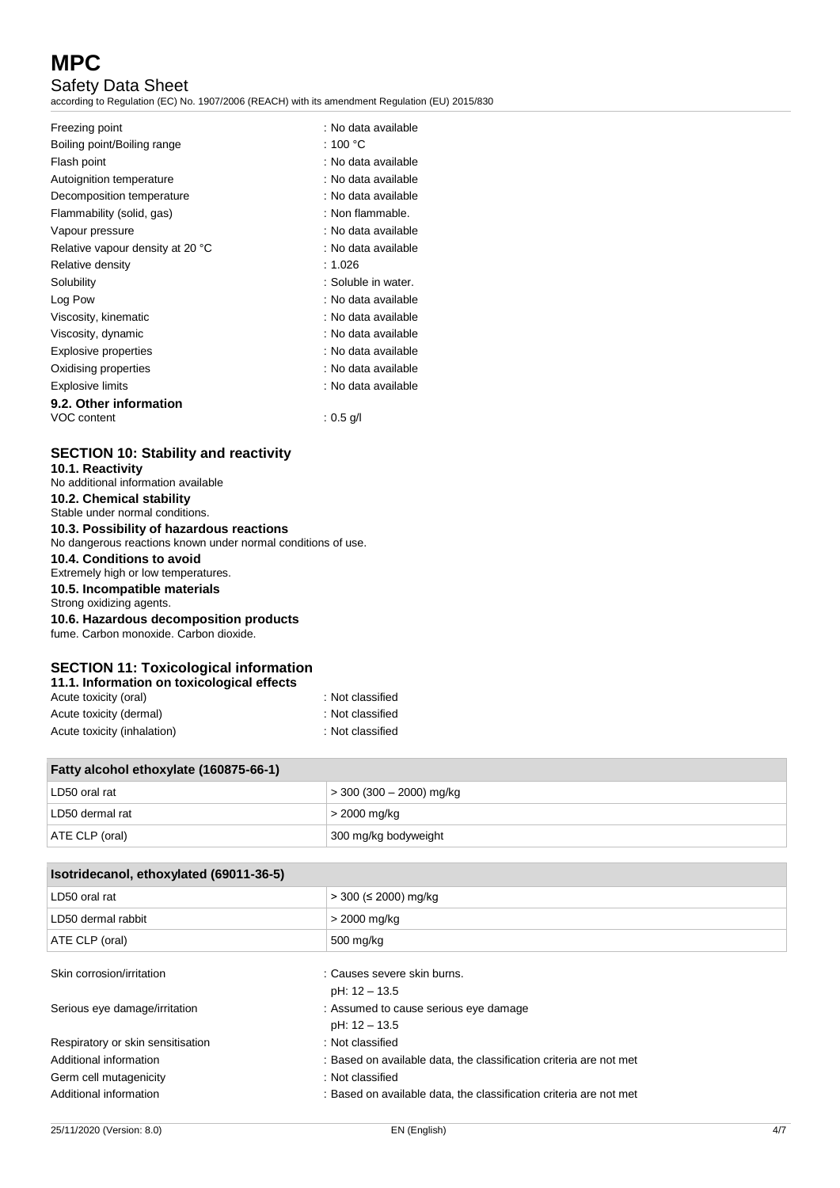# Safety Data Sheet

according to Regulation (EC) No. 1907/2006 (REACH) with its amendment Regulation (EU) 2015/830

| Freezing point                   | : No data available |
|----------------------------------|---------------------|
| Boiling point/Boiling range      | : 100 °C            |
| Flash point                      | : No data available |
| Autoignition temperature         | : No data available |
| Decomposition temperature        | : No data available |
| Flammability (solid, gas)        | : Non flammable.    |
| Vapour pressure                  | : No data available |
| Relative vapour density at 20 °C | : No data available |
| Relative density                 | : 1.026             |
| Solubility                       | : Soluble in water. |
| Log Pow                          | : No data available |
| Viscosity, kinematic             | : No data available |
| Viscosity, dynamic               | : No data available |
| Explosive properties             | : No data available |
| Oxidising properties             | : No data available |
| <b>Explosive limits</b>          | : No data available |
| 9.2. Other information           |                     |
| VOC content                      | : $0.5$ g/l         |

# **SECTION 10: Stability and reactivity**

| 10.1. Reactivity                                                                 |
|----------------------------------------------------------------------------------|
| No additional information available                                              |
| 10.2. Chemical stability<br>Stable under normal conditions.                      |
| 10.3. Possibility of hazardous reactions                                         |
| No dangerous reactions known under normal conditions of use.                     |
| 10.4. Conditions to avoid<br>Extremely high or low temperatures.                 |
| 10.5. Incompatible materials<br>Strong oxidizing agents.                         |
| 10.6. Hazardous decomposition products<br>fume. Carbon monoxide. Carbon dioxide. |
|                                                                                  |

# **SECTION 11: Toxicological information**

| : Not classified |
|------------------|
| : Not classified |
| : Not classified |
|                  |

| Fatty alcohol ethoxylate (160875-66-1) |                          |  |
|----------------------------------------|--------------------------|--|
| LD50 oral rat                          | > 300 (300 – 2000) mg/kg |  |
| LD50 dermal rat                        | $>$ 2000 mg/kg           |  |
| ATE CLP (oral)                         | 300 mg/kg bodyweight     |  |

| Isotridecanol, ethoxylated (69011-36-5) |                                                                    |  |
|-----------------------------------------|--------------------------------------------------------------------|--|
| LD50 oral rat                           | > 300 (≤ 2000) mg/kg                                               |  |
| LD50 dermal rabbit                      | > 2000 mg/kg                                                       |  |
| ATE CLP (oral)                          | 500 mg/kg                                                          |  |
| Skin corrosion/irritation               | : Causes severe skin burns.                                        |  |
|                                         | pH: 12 - 13.5                                                      |  |
| Serious eye damage/irritation           | : Assumed to cause serious eye damage                              |  |
|                                         | pH: 12 - 13.5                                                      |  |
| Respiratory or skin sensitisation       | : Not classified                                                   |  |
| Additional information                  | : Based on available data, the classification criteria are not met |  |
| Germ cell mutagenicity                  | : Not classified                                                   |  |
| Additional information                  | : Based on available data, the classification criteria are not met |  |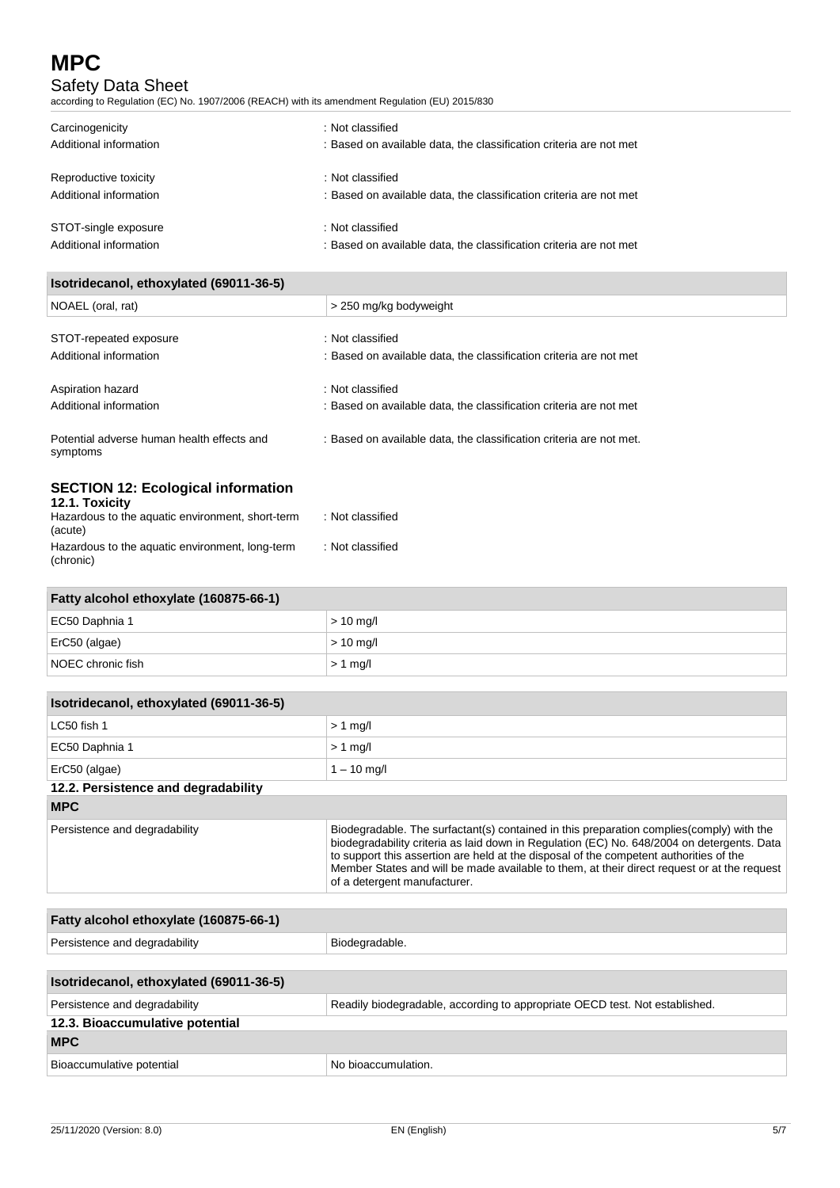# Safety Data Sheet

according to Regulation (EC) No. 1907/2006 (REACH) with its amendment Regulation (EU) 2015/830

| Carcinogenicity<br>Additional information | : Not classified<br>: Based on available data, the classification criteria are not met |  |
|-------------------------------------------|----------------------------------------------------------------------------------------|--|
| Reproductive toxicity                     | : Not classified                                                                       |  |
| Additional information                    | : Based on available data, the classification criteria are not met                     |  |
| STOT-single exposure                      | : Not classified                                                                       |  |
| Additional information                    | : Based on available data, the classification criteria are not met                     |  |

| Isotridecanol, ethoxylated (69011-36-5)                    |                                                                     |  |
|------------------------------------------------------------|---------------------------------------------------------------------|--|
| NOAEL (oral, rat)                                          | > 250 mg/kg bodyweight                                              |  |
| STOT-repeated exposure                                     | : Not classified                                                    |  |
| Additional information                                     | : Based on available data, the classification criteria are not met  |  |
| Aspiration hazard                                          | : Not classified                                                    |  |
| Additional information                                     | : Based on available data, the classification criteria are not met  |  |
| Potential adverse human health effects and<br>symptoms     | : Based on available data, the classification criteria are not met. |  |
| <b>SECTION 12: Ecological information</b><br>12.1 Toxicity |                                                                     |  |

| <b>TZ.T. LOXICITY</b><br>Hazardous to the aquatic environment, short-term<br>(acute) | : Not classified |
|--------------------------------------------------------------------------------------|------------------|
| Hazardous to the aquatic environment, long-term<br>(chronic)                         | : Not classified |

| Fatty alcohol ethoxylate (160875-66-1) |             |
|----------------------------------------|-------------|
| EC50 Daphnia 1                         | $> 10$ mg/l |
| ErC50 (algae)                          | $> 10$ mg/l |
| NOEC chronic fish                      | $> 1$ mg/l  |

| Isotridecanol, ethoxylated (69011-36-5) |                                                                                                                                                                                                                                                                                                                                                                                                                  |
|-----------------------------------------|------------------------------------------------------------------------------------------------------------------------------------------------------------------------------------------------------------------------------------------------------------------------------------------------------------------------------------------------------------------------------------------------------------------|
| LC50 fish 1                             | $> 1$ mg/l                                                                                                                                                                                                                                                                                                                                                                                                       |
| EC50 Daphnia 1                          | $> 1$ mg/l                                                                                                                                                                                                                                                                                                                                                                                                       |
| ErC50 (algae)                           | $1 - 10$ mg/l                                                                                                                                                                                                                                                                                                                                                                                                    |
| 12.2. Persistence and degradability     |                                                                                                                                                                                                                                                                                                                                                                                                                  |
| <b>MPC</b>                              |                                                                                                                                                                                                                                                                                                                                                                                                                  |
| Persistence and degradability           | Biodegradable. The surfactant(s) contained in this preparation complies (comply) with the<br>biodegradability criteria as laid down in Regulation (EC) No. 648/2004 on detergents. Data<br>to support this assertion are held at the disposal of the competent authorities of the<br>Member States and will be made available to them, at their direct request or at the request<br>of a detergent manufacturer. |
|                                         |                                                                                                                                                                                                                                                                                                                                                                                                                  |
| Fatty alcohol ethoxylate (160875-66-1)  |                                                                                                                                                                                                                                                                                                                                                                                                                  |
| Persistence and degradability           | Biodegradable.                                                                                                                                                                                                                                                                                                                                                                                                   |
|                                         |                                                                                                                                                                                                                                                                                                                                                                                                                  |
| Isotridecanol, ethoxylated (69011-36-5) |                                                                                                                                                                                                                                                                                                                                                                                                                  |

| Readily biodegradable, according to appropriate OECD test. Not established.<br>Persistence and degradability |                                  |
|--------------------------------------------------------------------------------------------------------------|----------------------------------|
| 12.3. Bioaccumulative potential                                                                              |                                  |
| <b>MPC</b>                                                                                                   |                                  |
| Bioaccumulative potential                                                                                    | <sup>1</sup> No bioaccumulation. |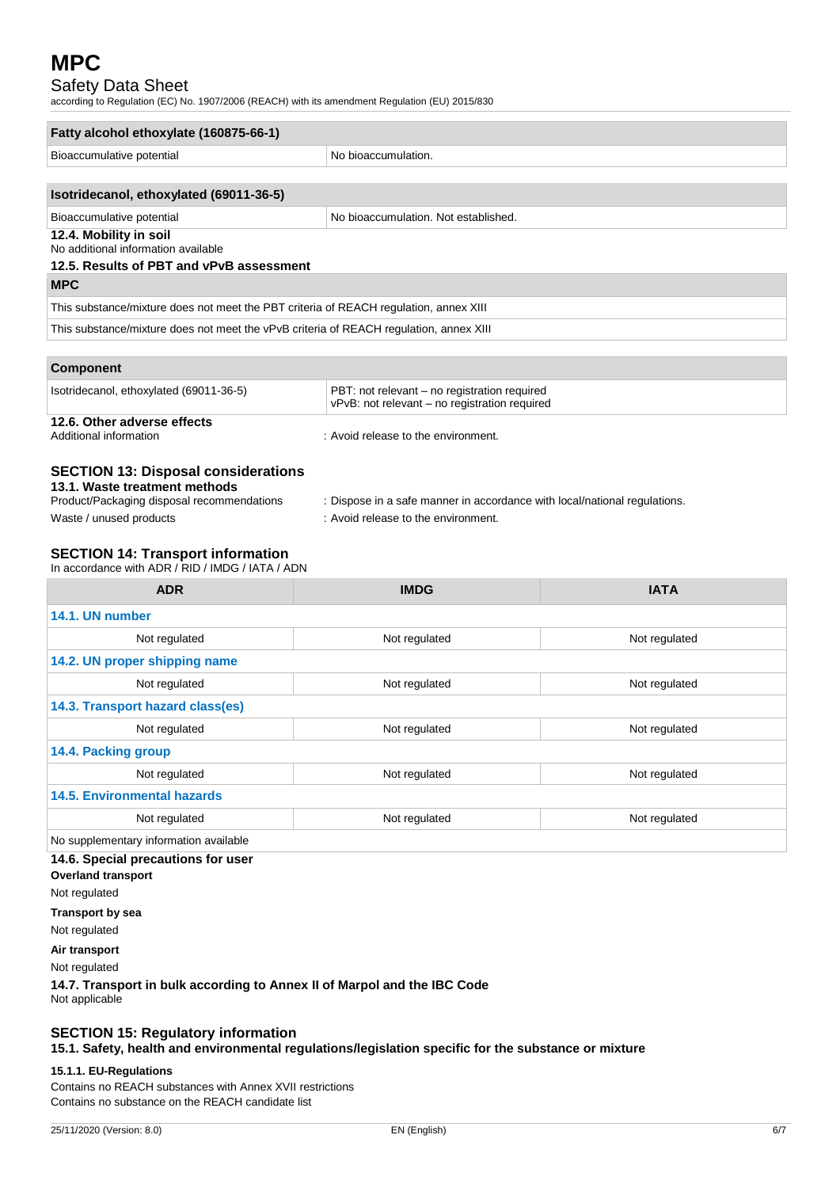# Safety Data Sheet

according to Regulation (EC) No. 1907/2006 (REACH) with its amendment Regulation (EU) 2015/830

| No bioaccumulation.                                                                                              |  |
|------------------------------------------------------------------------------------------------------------------|--|
|                                                                                                                  |  |
|                                                                                                                  |  |
|                                                                                                                  |  |
| No bioaccumulation. Not established.                                                                             |  |
|                                                                                                                  |  |
|                                                                                                                  |  |
|                                                                                                                  |  |
| This substance/mixture does not meet the PBT criteria of REACH regulation, annex XIII                            |  |
| This substance/mixture does not meet the vPvB criteria of REACH regulation, annex XIII                           |  |
|                                                                                                                  |  |
|                                                                                                                  |  |
| PBT: not relevant - no registration required<br>vPvB: not relevant – no registration required                    |  |
| : Avoid release to the environment.                                                                              |  |
| : Dispose in a safe manner in accordance with local/national regulations.<br>: Avoid release to the environment. |  |
|                                                                                                                  |  |

# **SECTION 14: Transport information**

In accordance with ADR / RID / IMDG / IATA / ADN

| <b>ADR</b>                             | <b>IMDG</b>   | <b>IATA</b>   |
|----------------------------------------|---------------|---------------|
| 14.1. UN number                        |               |               |
| Not regulated                          | Not regulated | Not regulated |
| 14.2. UN proper shipping name          |               |               |
| Not regulated                          | Not regulated | Not regulated |
| 14.3. Transport hazard class(es)       |               |               |
| Not regulated                          | Not regulated | Not regulated |
| 14.4. Packing group                    |               |               |
| Not regulated                          | Not regulated | Not regulated |
| <b>14.5. Environmental hazards</b>     |               |               |
| Not regulated                          | Not regulated | Not regulated |
| No supplementary information available |               |               |

## **14.6. Special precautions for user**

**Overland transport**

Not regulated

**Transport by sea**

Not regulated

**Air transport**

Not regulated

**14.7. Transport in bulk according to Annex II of Marpol and the IBC Code** Not applicable

# **SECTION 15: Regulatory information**

**15.1. Safety, health and environmental regulations/legislation specific for the substance or mixture**

### **15.1.1. EU-Regulations**

Contains no REACH substances with Annex XVII restrictions Contains no substance on the REACH candidate list